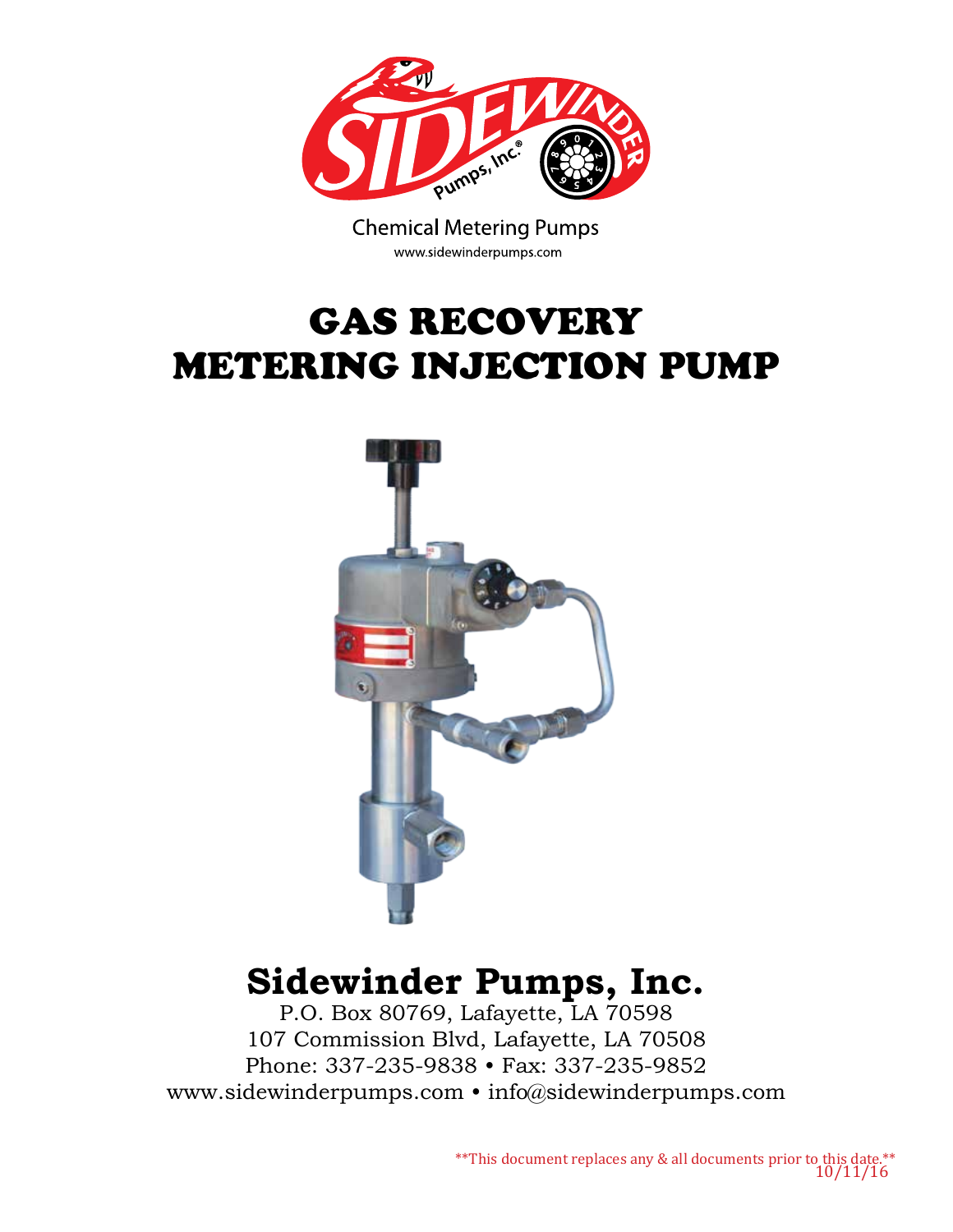

**Chemical Metering Pumps** www.sidewinderpumps.com

# GAS RECOVERY METERING INJECTION PUMP



## **Sidewinder Pumps, Inc.**

P.O. Box 80769, Lafayette, LA 70598 107 Commission Blvd, Lafayette, LA 70508 Phone: 337-235-9838 • Fax: 337-235-9852 www.sidewinderpumps.com • info@sidewinderpumps.com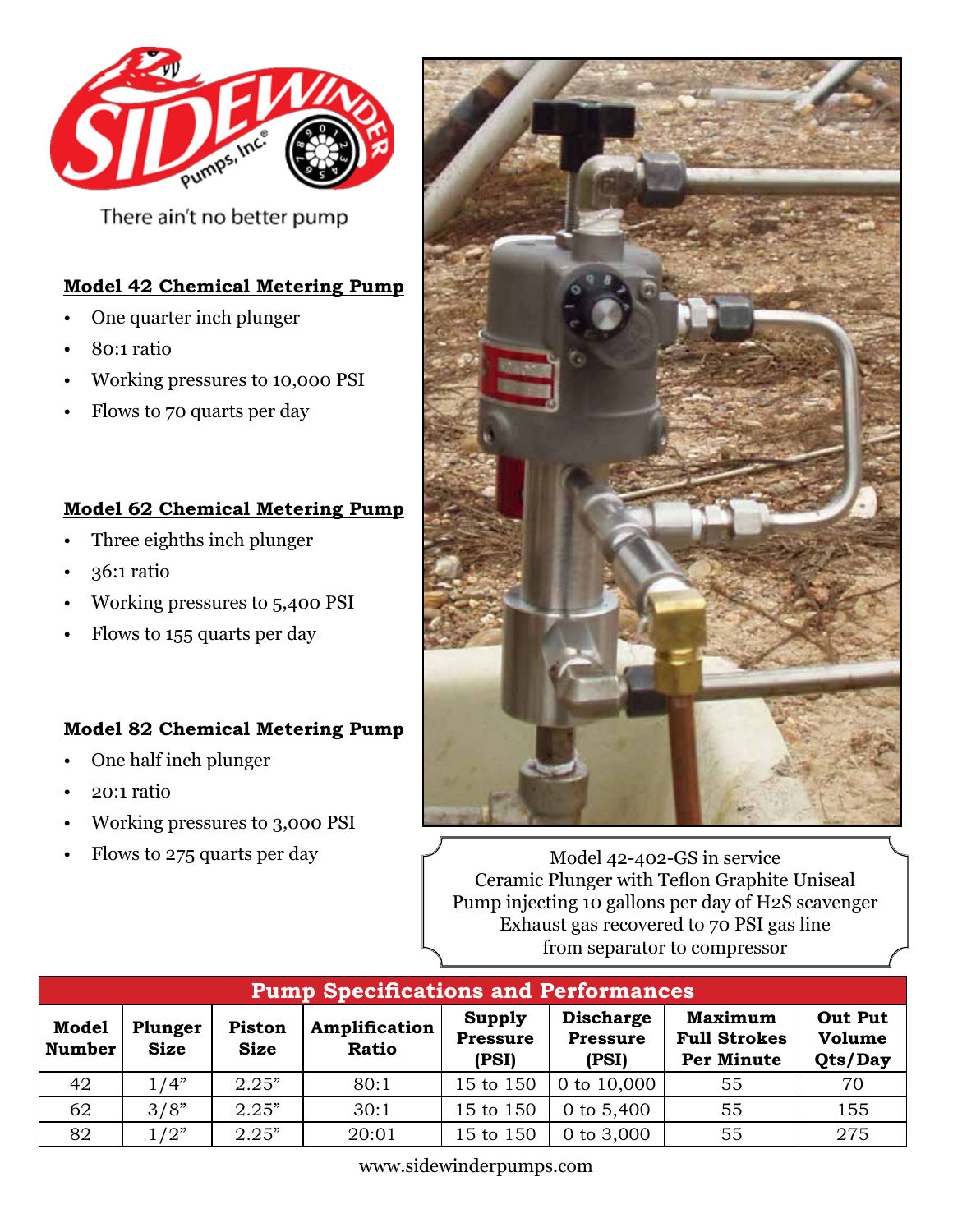

There ain't no better pump

#### **Model 42 Chemical Metering Pump**

- One quarter inch plunger
- 80:1 ratio
- Working pressures to 10,000 PSI
- Flows to 70 quarts per day

#### **Model 62 Chemical Metering Pump**

- Three eighths inch plunger
- 36:1 ratio
- Working pressures to 5,400 PSI
- Flows to 155 quarts per day

#### **Model 82 Chemical Metering Pump**

- One half inch plunger
- 20:1 ratio
- Working pressures to 3,000 PSI
- Flows to 275 quarts per day



Model 42-402-GS in service Ceramic Plunger with Teflon Graphite Uniseal Pump injecting 10 gallons per day of H2S scavenger Exhaust gas recovered to 70 PSI gas line from separator to compressor

| <b>Pump Specifications and Performances</b> |                        |                       |                               |                                    |                                              |                                                            |                                     |
|---------------------------------------------|------------------------|-----------------------|-------------------------------|------------------------------------|----------------------------------------------|------------------------------------------------------------|-------------------------------------|
| <b>Model</b><br><b>Number</b>               | Plunger<br><b>Size</b> | Piston<br><b>Size</b> | Amplification<br><b>Ratio</b> | Supply<br><b>Pressure</b><br>(PSI) | <b>Discharge</b><br><b>Pressure</b><br>(PSI) | <b>Maximum</b><br><b>Full Strokes</b><br><b>Per Minute</b> | <b>Out Put</b><br>Volume<br>Qts/Day |
| 42                                          | 1/4"                   | 2.25"                 | 80:1                          | 15 to 150                          | 0 to 10,000                                  | 55                                                         | 70                                  |
| 62                                          | 3/8"                   | 2.25"                 | 30:1                          | 15 to 150                          | 0 to $5,400$                                 | 55                                                         | 155                                 |
| 82                                          | 1/2"                   | 2.25"                 | 20:01                         | 15 to 150                          | 0 to 3,000                                   | 55                                                         | 275                                 |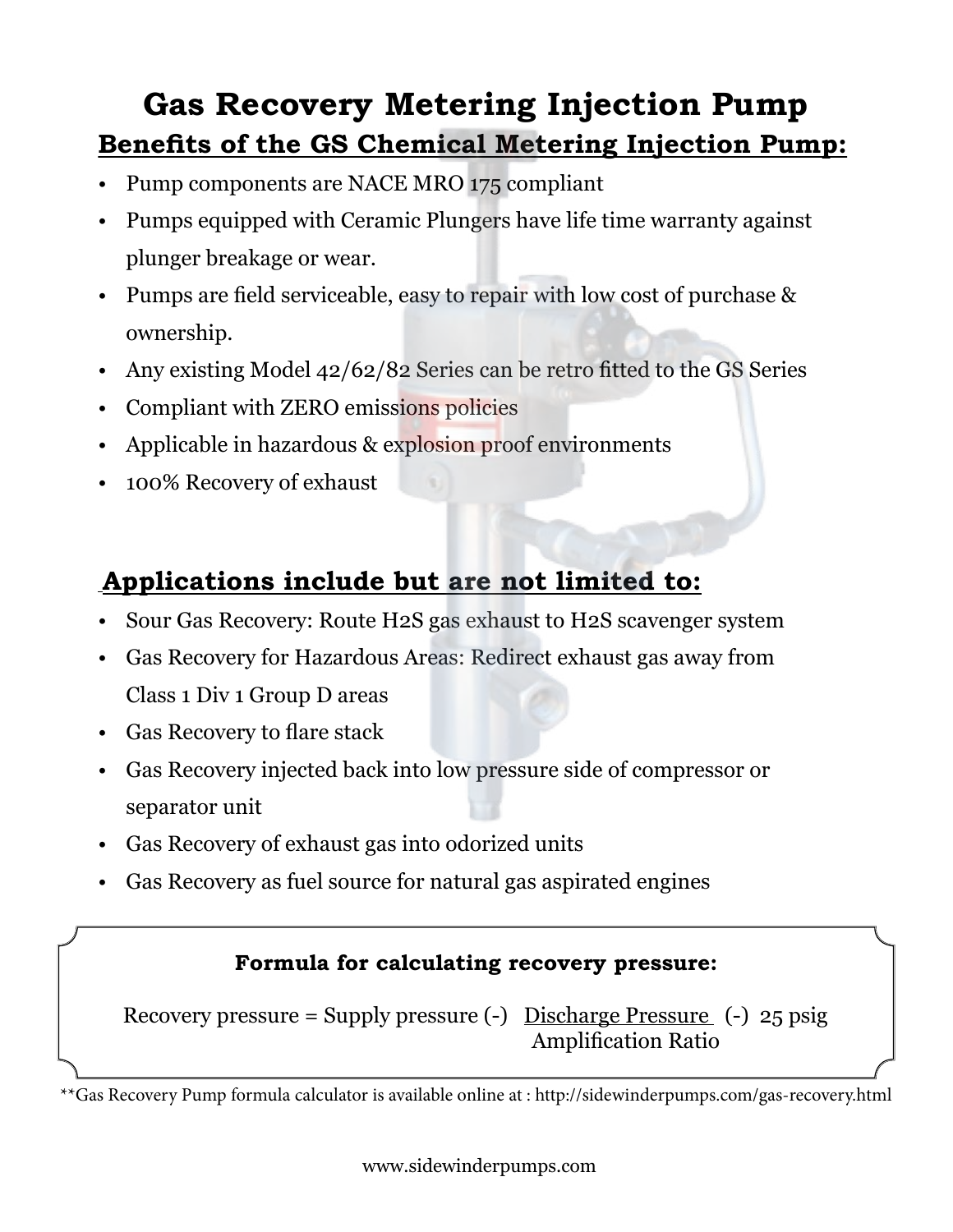### **Gas Recovery Metering Injection Pump Benefits of the GS Chemical Metering Injection Pump:**

- Pump components are NACE MRO 175 compliant
- Pumps equipped with Ceramic Plungers have life time warranty against plunger breakage or wear.
- Pumps are field serviceable, easy to repair with low cost of purchase & ownership.
- Any existing Model 42/62/82 Series can be retro fitted to the GS Series
- Compliant with ZERO emissions policies
- Applicable in hazardous & explosion proof environments
- 100% Recovery of exhaust

### **Applications include but are not limited to:**

- Sour Gas Recovery: Route H2S gas exhaust to H2S scavenger system
- Gas Recovery for Hazardous Areas: Redirect exhaust gas away from Class 1 Div 1 Group D areas
- Gas Recovery to flare stack
- Gas Recovery injected back into low pressure side of compressor or separator unit
- Gas Recovery of exhaust gas into odorized units
- Gas Recovery as fuel source for natural gas aspirated engines

### **Formula for calculating recovery pressure:**

Recovery pressure = Supply pressure (-) Discharge Pressure (-) 25 psig Amplification Ratio

\*\*Gas Recovery Pump formula calculator is available online at : http://sidewinderpumps.com/gas-recovery.html